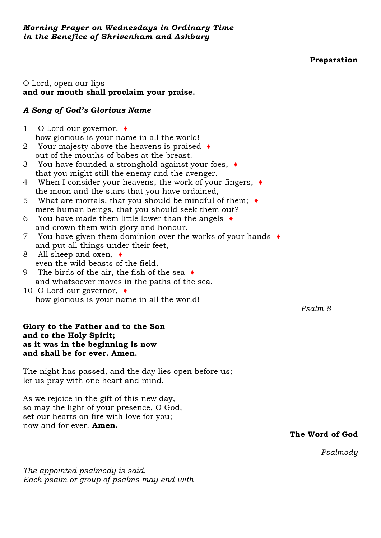**Preparation**

## O Lord, open our lips **and our mouth shall proclaim your praise.**

# *A Song of God's Glorious Name*

- 1 O Lord our governor, ♦ how glorious is your name in all the world!
- 2 Your majesty above the heavens is praised ♦ out of the mouths of babes at the breast.
- 3 You have founded a stronghold against your foes, ♦ that you might still the enemy and the avenger.
- 4 When I consider your heavens, the work of your fingers, ♦ the moon and the stars that you have ordained,
- 5 What are mortals, that you should be mindful of them; ♦ mere human beings, that you should seek them out?
- 6 You have made them little lower than the angels  $\triangleleft$ and crown them with glory and honour.
- 7 You have given them dominion over the works of your hands ♦ and put all things under their feet,
- 8 All sheep and oxen, ♦ even the wild beasts of the field,
- 9 The birds of the air, the fish of the sea ♦ and whatsoever moves in the paths of the sea.
- 10 O Lord our governor, ♦ how glorious is your name in all the world!

### **Glory to the Father and to the Son and to the Holy Spirit; as it was in the beginning is now and shall be for ever. Amen.**

The night has passed, and the day lies open before us; let us pray with one heart and mind.

As we rejoice in the gift of this new day, so may the light of your presence, O God, set our hearts on fire with love for you; now and for ever. **Amen.**

**The Word of God**

*[Psalmody](https://www.churchofengland.org/common-material/psalter#mm13a)*

*The appointed [psalmody](https://www.churchofengland.org/common-material/psalter#mm13a) is said. Each psalm or group of psalms may end with* *Psalm 8*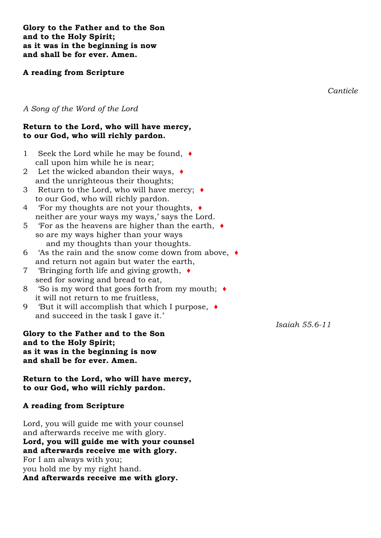**Glory to the Father and to the Son and to the Holy Spirit; as it was in the beginning is now and shall be for ever. Amen.**

### **A reading from Scripture**

*Canticle*

### *A Song of the Word of the Lord*

#### **Return to the Lord, who will have mercy, to our God, who will richly pardon.**

- 1 Seek the Lord while he may be found, ♦ call upon him while he is near;
- 2 Let the wicked abandon their ways, ♦ and the unrighteous their thoughts;
- 3 Return to the Lord, who will have mercy; ♦ to our God, who will richly pardon.
- 4 'For my thoughts are not your thoughts, ♦ neither are your ways my ways,' says the Lord.
- 5 'For as the heavens are higher than the earth, ♦ so are my ways higher than your ways and my thoughts than your thoughts.
- 6 'As the rain and the snow come down from above, ♦ and return not again but water the earth,
- 7 'Bringing forth life and giving growth, ♦ seed for sowing and bread to eat,
- 8 'So is my word that goes forth from my mouth; ♦ it will not return to me fruitless,
- 9 'But it will accomplish that which I purpose, ♦ and succeed in the task I gave it.'

**Glory to the Father and to the Son and to the Holy Spirit; as it was in the beginning is now and shall be for ever. Amen.**

**Return to the Lord, who will have mercy, to our God, who will richly pardon.**

### **A reading from Scripture**

Lord, you will guide me with your counsel and afterwards receive me with glory. **Lord, you will guide me with your counsel and afterwards receive me with glory.** For I am always with you; you hold me by my right hand. **And afterwards receive me with glory.**

*Isaiah 55.6-11*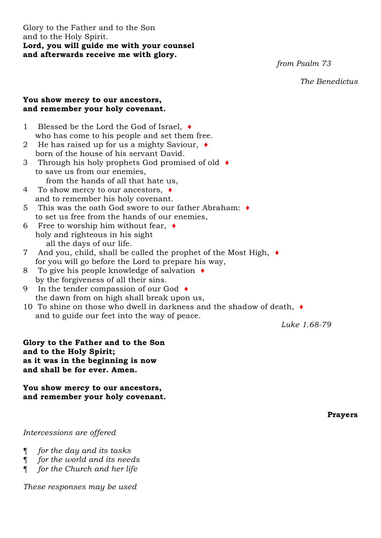Glory to the Father and to the Son and to the Holy Spirit. **Lord, you will guide me with your counsel and afterwards receive me with glory.**

*from Psalm 73*

*The Benedictus* 

### **You show mercy to our ancestors, and remember your holy covenant.**

- 1 Blessed be the Lord the God of Israel, ♦ who has come to his people and set them free.
- 2 He has raised up for us a mighty Saviour, ♦ born of the house of his servant David.
- 3 Through his holy prophets God promised of old ♦ to save us from our enemies,
	- from the hands of all that hate us,
- 4 To show mercy to our ancestors, ♦ and to remember his holy covenant.
- 5 This was the oath God swore to our father Abraham: ♦ to set us free from the hands of our enemies,
- 6 Free to worship him without fear,  $\triangleleft$ holy and righteous in his sight all the days of our life.
- 7 And you, child, shall be called the prophet of the Most High, ♦ for you will go before the Lord to prepare his way,
- 8 To give his people knowledge of salvation ♦ by the forgiveness of all their sins.
- 9 In the tender compassion of our God ♦ the dawn from on high shall break upon us,
- 10 To shine on those who dwell in darkness and the shadow of death, ♦ and to guide our feet into the way of peace.

*Luke 1.68-79*

**Glory to the Father and to the Son and to the Holy Spirit; as it was in the beginning is now and shall be for ever. Amen.**

**You show mercy to our ancestors, and remember your holy covenant.**

**Prayers**

### *Intercessions are offered*

- ¶ *for the day and its tasks*
- ¶ *for the world and its needs*
- ¶ *for the Church and her life*

*These responses may be used*